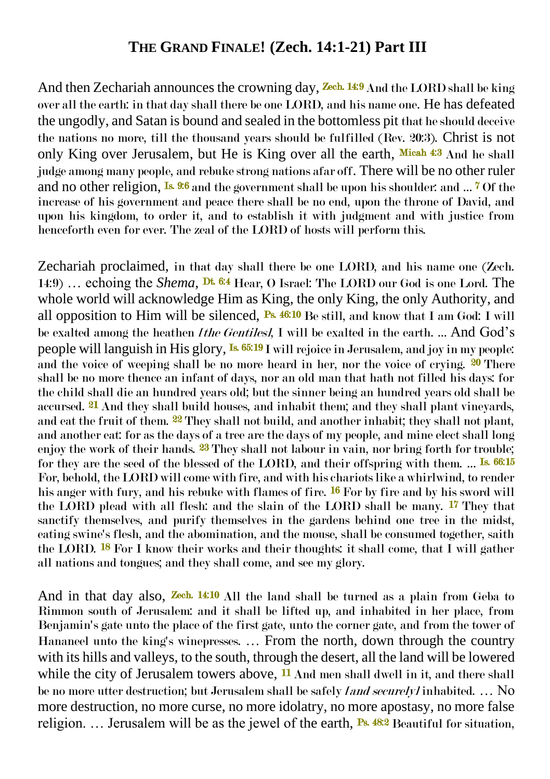## **THE GRAND FINALE! (Zech. 14:1-21) Part III**

And then Zechariah announces the crowning day, **Zech. 14:9** And the LORD shall be king over all the earth: in that day shall there be one LORD, and his name one. He has defeated the ungodly, and Satan is bound and sealed in the bottomless pit that he should deceive the nations no more, till the thousand years should be fulfilled (Rev. 20:3). Christ is not only King over Jerusalem, but He is King over all the earth, Micah 4:3 And he shall judge among many people, and rebuke strong nations afar off. There will be no other ruler and no other religion, <sup>Is. 9:6</sup> and the government shall be upon his shoulder: and ... <sup>7</sup> Of the increase of his government and peace there shall be no end, upon the throne of David, and upon his kingdom, to order it, and to establish it with judgment and with justice from henceforth even for ever. The zeal of the LORD of hosts will perform this.

Zechariah proclaimed, in that day shall there be one LORD, and his name one (Zech. 14:9) … echoing the *Shema*, Dt. 6:4 Hear, O Israel: The LORD our God is one Lord. The whole world will acknowledge Him as King, the only King, the only Authority, and all opposition to Him will be silenced,  $\mathbb{P}^3$  46:10 Be still, and know that I am God: I will be exalted among the heathen *[the Gentiles]*, I will be exalted in the earth. … And God's people will languish in His glory, Is. 65:19 I will rejoice in Jerusalem, and joy in my people: and the voice of weeping shall be no more heard in her, nor the voice of crying. 20 There shall be no more thence an infant of days, nor an old man that hath not filled his days: for the child shall die an hundred years old; but the sinner being an hundred years old shall be accursed. <sup>21</sup> And they shall build houses, and inhabit them; and they shall plant vineyards, and eat the fruit of them. 22 They shall not build, and another inhabit; they shall not plant, and another eat: for as the days of a tree are the days of my people, and mine elect shall long enjoy the work of their hands. <sup>23</sup> They shall not labour in vain, nor bring forth for trouble; for they are the seed of the blessed of the LORD, and their offspring with them. ... Is. 66:15 For, behold, the LORD will come with fire, and with his chariots like a whirlwind, to render his anger with fury, and his rebuke with flames of fire. <sup>16</sup> For by fire and by his sword will the LORD plead with all flesh: and the slain of the LORD shall be many. 17 They that sanctify themselves, and purify themselves in the gardens behind one tree in the midst, eating swine's flesh, and the abomination, and the mouse, shall be consumed together, saith the LORD. <sup>18</sup> For I know their works and their thoughts: it shall come, that I will gather all nations and tongues; and they shall come, and see my glory.

And in that day also, **Zech. 14:10** All the land shall be turned as a plain from Geba to Rimmon south of Jerusalem: and it shall be lifted up, and inhabited in her place, from Benjamin's gate unto the place of the first gate, unto the corner gate, and from the tower of Hananeel unto the king's winepresses. … From the north, down through the country with its hills and valleys, to the south, through the desert, all the land will be lowered while the city of Jerusalem towers above, <sup>11</sup> And men shall dwell in it, and there shall be no more utter destruction; but Jerusalem shall be safely *land securely]* inhabited. ... No more destruction, no more curse, no more idolatry, no more apostasy, no more false religion. ... Jerusalem will be as the jewel of the earth, **Ps. 48:2** Beautiful for situation,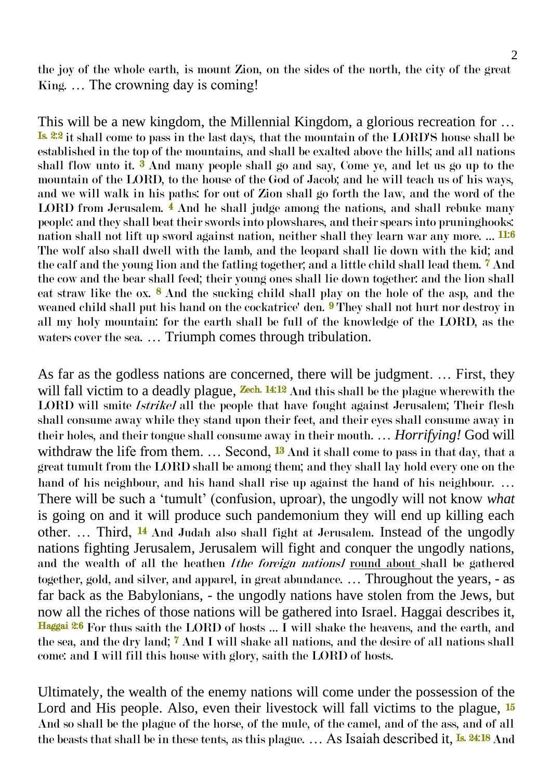the joy of the whole earth, is mount Zion, on the sides of the north, the city of the great King. … The crowning day is coming!

This will be a new kingdom, the Millennial Kingdom, a glorious recreation for … Is. 2:2 it shall come to pass in the last days, that the mountain of the LORD'S house shall be established in the top of the mountains, and shall be exalted above the hills; and all nations shall flow unto it.  $\hat{\mathbf{3}}$  And many people shall go and say, Come ye, and let us go up to the mountain of the LORD, to the house of the God of Jacob; and he will teach us of his ways, and we will walk in his paths: for out of Zion shall go forth the law, and the word of the LORD from Jerusalem.  $\frac{2}{3}$  And he shall judge among the nations, and shall rebuke many people: and they shall beat their swords into plowshares, and their spears into pruninghooks: nation shall not lift up sword against nation, neither shall they learn war any more. ... <mark>11:6</mark> The wolf also shall dwell with the lamb, and the leopard shall lie down with the kid; and the calf and the young lion and the fatling together; and a little child shall lead them. 7 And the cow and the bear shall feed; their young ones shall lie down together: and the lion shall eat straw like the ox.  $\frac{8}{9}$  And the sucking child shall play on the hole of the asp, and the weaned child shall put his hand on the cockatrice' den. <sup>9</sup> They shall not hurt nor destroy in all my holy mountain: for the earth shall be full of the knowledge of the LORD, as the waters cover the sea. … Triumph comes through tribulation.

As far as the godless nations are concerned, there will be judgment. … First, they will fall victim to a deadly plague, **Zech.** 14:12 And this shall be the plague wherewith the LORD will smite *[strike]* all the people that have fought against Jerusalem; Their flesh shall consume away while they stand upon their feet, and their eyes shall consume away in their holes, and their tongue shall consume away in their mouth. … *Horrifying!* God will withdraw the life from them.  $\ldots$  Second,  $^{13}$  And it shall come to pass in that day, that a great tumult from the LORD shall be among them; and they shall lay hold every one on the hand of his neighbour, and his hand shall rise up against the hand of his neighbour. ... There will be such a 'tumult' (confusion, uproar), the ungodly will not know *what* is going on and it will produce such pandemonium they will end up killing each other. … Third, 14 And Judah also shall fight at Jerusalem. Instead of the ungodly nations fighting Jerusalem, Jerusalem will fight and conquer the ungodly nations, and the wealth of all the heathen *Ithe foreign nationsl* round about shall be gathered together, gold, and silver, and apparel, in great abundance. … Throughout the years, - as far back as the Babylonians, - the ungodly nations have stolen from the Jews, but now all the riches of those nations will be gathered into Israel. Haggai describes it, Haggai 2:6 For thus saith the LORD of hosts … I will shake the heavens, and the earth, and the sea, and the dry land; 7 And I will shake all nations, and the desire of all nations shall come: and I will fill this house with glory, saith the LORD of hosts.

Ultimately, the wealth of the enemy nations will come under the possession of the Lord and His people. Also, even their livestock will fall victims to the plague,  $\frac{15}{16}$ And so shall be the plague of the horse, of the mule, of the camel, and of the ass, and of all the beasts that shall be in these tents, as this plague. ... As Isaiah described it, <sup>Is. 24:18</sup> And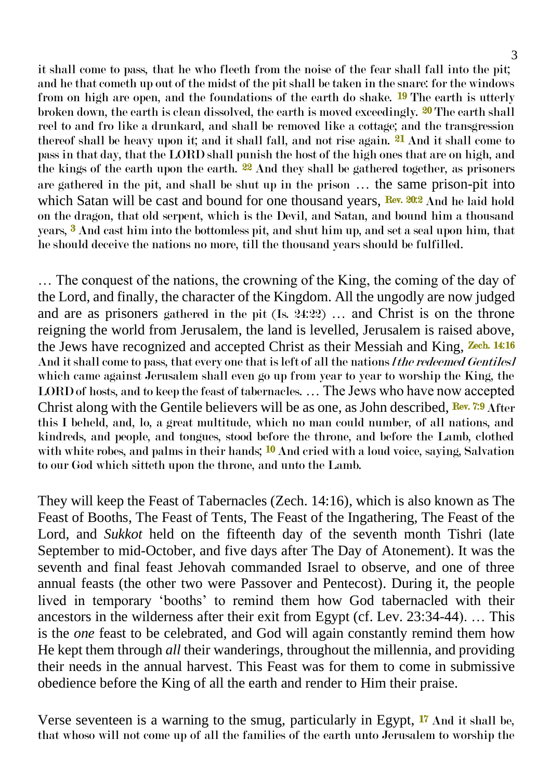it shall come to pass, that he who fleeth from the noise of the fear shall fall into the pit; and he that cometh up out of the midst of the pit shall be taken in the snare: for the windows from on high are open, and the foundations of the earth do shake. <sup>19</sup> The earth is utterly broken down, the earth is clean dissolved, the earth is moved exceedingly. 20 The earth shall reel to and fro like a drunkard, and shall be removed like a cottage; and the transgression thereof shall be heavy upon it; and it shall fall, and not rise again. <sup>21</sup> And it shall come to pass in that day, that the LORD shall punish the host of the high ones that are on high, and the kings of the earth upon the earth. 22 And they shall be gathered together, as prisoners are gathered in the pit, and shall be shut up in the prison … the same prison-pit into which Satan will be cast and bound for one thousand years,  $\frac{R}{ev}$ . 20:2 And he laid hold on the dragon, that old serpent, which is the Devil, and Satan, and bound him a thousand years, 3 And cast him into the bottomless pit, and shut him up, and set a seal upon him, that he should deceive the nations no more, till the thousand years should be fulfilled.

… The conquest of the nations, the crowning of the King, the coming of the day of the Lord, and finally, the character of the Kingdom. All the ungodly are now judged and are as prisoners gathered in the pit (Is. 24:22) … and Christ is on the throne reigning the world from Jerusalem, the land is levelled, Jerusalem is raised above, the Jews have recognized and accepted Christ as their Messiah and King, Zech. 14:16 And it shall come to pass, that every one that is left of all the nations *I the redeemed Gentiles]* which came against Jerusalem shall even go up from year to year to worship the King, the LORD of hosts, and to keep the feast of tabernacles. … The Jews who have now accepted Christ along with the Gentile believers will be as one, as John described, Rev. 7:9 After this I beheld, and, lo, a great multitude, which no man could number, of all nations, and kindreds, and people, and tongues, stood before the throne, and before the Lamb, clothed with white robes, and palms in their hands;  $^{10}$  And cried with a loud voice, saying, Salvation to our God which sitteth upon the throne, and unto the Lamb.

They will keep the Feast of Tabernacles (Zech. 14:16), which is also known as The Feast of Booths, The Feast of Tents, The Feast of the Ingathering, The Feast of the Lord, and *Sukkot* held on the fifteenth day of the seventh month Tishri (late September to mid-October, and five days after The Day of Atonement). It was the seventh and final feast Jehovah commanded Israel to observe, and one of three annual feasts (the other two were Passover and Pentecost). During it, the people lived in temporary 'booths' to remind them how God tabernacled with their ancestors in the wilderness after their exit from Egypt (cf. Lev. 23:34-44). … This is the *one* feast to be celebrated, and God will again constantly remind them how He kept them through *all* their wanderings, throughout the millennia, and providing their needs in the annual harvest. This Feast was for them to come in submissive obedience before the King of all the earth and render to Him their praise.

Verse seventeen is a warning to the smug, particularly in Egypt,  $\mathbf{I}^{\prime\prime}$  And it shall be, that whoso will not come up of all the families of the earth unto Jerusalem to worship the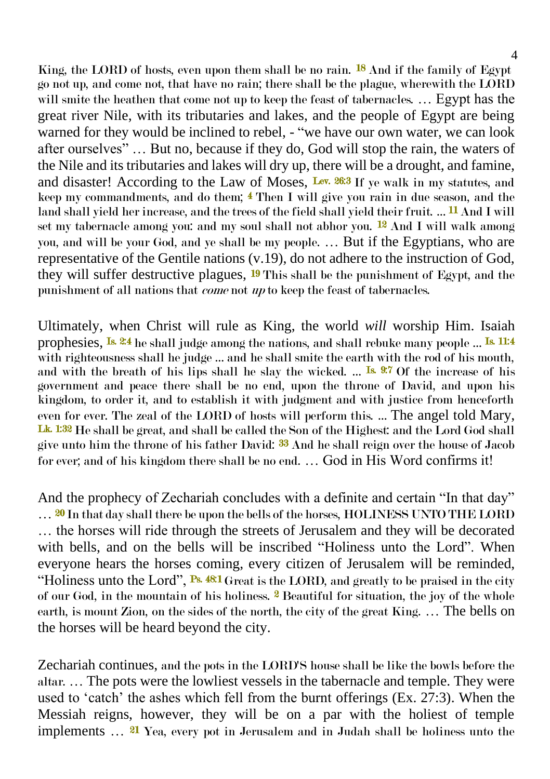King, the LORD of hosts, even upon them shall be no rain. <sup>18</sup> And if the family of Egypt go not up, and come not, that have no rain; there shall be the plague, wherewith the LORD will smite the heathen that come not up to keep the feast of tabernacles. … Egypt has the great river Nile, with its tributaries and lakes, and the people of Egypt are being warned for they would be inclined to rebel, - "we have our own water, we can look after ourselves" … But no, because if they do, God will stop the rain, the waters of the Nile and its tributaries and lakes will dry up, there will be a drought, and famine, and disaster! According to the Law of Moses, Lev.  $26.3$  If ye walk in my statutes, and keep my commandments, and do them; 4 Then I will give you rain in due season, and the land shall yield her increase, and the trees of the field shall yield their fruit. ... <sup>11</sup> And I will set my tabernacle among you: and my soul shall not abhor you. <sup>12</sup> And I will walk among you, and will be your God, and ye shall be my people. … But if the Egyptians, who are representative of the Gentile nations (v.19), do not adhere to the instruction of God, they will suffer destructive plagues, 19 This shall be the punishment of Egypt, and the punishment of all nations that come not up to keep the feast of tabernacles.

Ultimately, when Christ will rule as King, the world *will* worship Him. Isaiah prophesies, <sup>Is. 2:4</sup> he shall judge among the nations, and shall rebuke many people ... <sup>Is. 11:4</sup> with righteousness shall he judge … and he shall smite the earth with the rod of his mouth, and with the breath of his lips shall he slay the wicked. ... Is 9:7 Of the increase of his government and peace there shall be no end, upon the throne of David, and upon his kingdom, to order it, and to establish it with judgment and with justice from henceforth even for ever. The zeal of the LORD of hosts will perform this. … The angel told Mary, Lk. 1:32 He shall be great, and shall be called the Son of the Highest: and the Lord God shall give unto him the throne of his father David: 33 And he shall reign over the house of Jacob for ever; and of his kingdom there shall be no end. … God in His Word confirms it!

And the prophecy of Zechariah concludes with a definite and certain "In that day" ... <sup>20</sup> In that day shall there be upon the bells of the horses, HOLINESS UNTO THE LORD … the horses will ride through the streets of Jerusalem and they will be decorated with bells, and on the bells will be inscribed "Holiness unto the Lord". When everyone hears the horses coming, every citizen of Jerusalem will be reminded, "Holiness unto the Lord", Ps. 48:1 Great is the LORD, and greatly to be praised in the city of our God, in the mountain of his holiness. <sup>2</sup> Beautiful for situation, the joy of the whole earth, is mount Zion, on the sides of the north, the city of the great King. … The bells on the horses will be heard beyond the city.

Zechariah continues, and the pots in the LORD'S house shall be like the bowls before the altar. … The pots were the lowliest vessels in the tabernacle and temple. They were used to 'catch' the ashes which fell from the burnt offerings (Ex. 27:3). When the Messiah reigns, however, they will be on a par with the holiest of temple implements … 21 Yea, every pot in Jerusalem and in Judah shall be holiness unto the